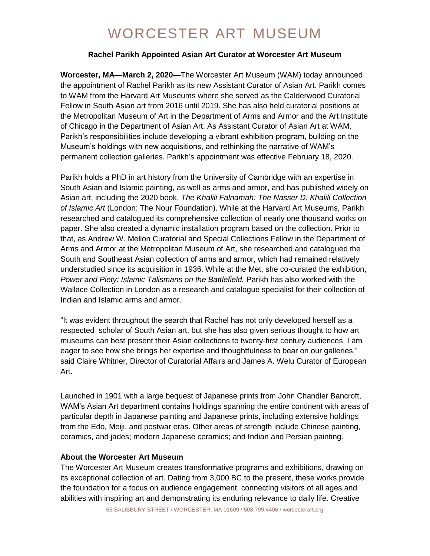# WORCESTER ART MUSEUM

### **Rachel Parikh Appointed Asian Art Curator at Worcester Art Museum**

**Worcester, MA—March 2, 2020—**The Worcester Art Museum (WAM) today announced the appointment of Rachel Parikh as its new Assistant Curator of Asian Art. Parikh comes to WAM from the Harvard Art Museums where she served as the Calderwood Curatorial Fellow in South Asian art from 2016 until 2019. She has also held curatorial positions at the Metropolitan Museum of Art in the Department of Arms and Armor and the Art Institute of Chicago in the Department of Asian Art. As Assistant Curator of Asian Art at WAM, Parikh's responsibilities include developing a vibrant exhibition program, building on the Museum's holdings with new acquisitions, and rethinking the narrative of WAM's permanent collection galleries. Parikh's appointment was effective February 18, 2020.

Parikh holds a PhD in art history from the University of Cambridge with an expertise in South Asian and Islamic painting, as well as arms and armor, and has published widely on Asian art, including the 2020 book, *The Khalili Falnamah: The Nasser D. Khalili Collection of Islamic Art* (London: The Nour Foundation). While at the Harvard Art Museums, Parikh researched and catalogued its comprehensive collection of nearly one thousand works on paper. She also created a dynamic installation program based on the collection. Prior to that, as Andrew W. Mellon Curatorial and Special Collections Fellow in the Department of Arms and Armor at the Metropolitan Museum of Art, she researched and catalogued the South and Southeast Asian collection of arms and armor, which had remained relatively understudied since its acquisition in 1936. While at the Met, she co-curated the exhibition, *Power and Piety: Islamic Talismans on the Battlefield.* Parikh has also worked with the Wallace Collection in London as a research and catalogue specialist for their collection of Indian and Islamic arms and armor.

"It was evident throughout the search that Rachel has not only developed herself as a respected scholar of South Asian art, but she has also given serious thought to how art museums can best present their Asian collections to twenty-first century audiences. I am eager to see how she brings her expertise and thoughtfulness to bear on our galleries," said Claire Whitner, Director of Curatorial Affairs and James A. Welu Curator of European Art.

Launched in 1901 with a large bequest of Japanese prints from John Chandler Bancroft, WAM's Asian Art department contains holdings spanning the entire continent with areas of particular depth in Japanese painting and Japanese prints, including extensive holdings from the Edo, Meiji, and postwar eras. Other areas of strength include Chinese painting, ceramics, and jades; modern Japanese ceramics; and Indian and Persian painting.

### **About the Worcester Art Museum**

The Worcester Art Museum creates transformative programs and exhibitions, drawing on its exceptional collection of art. Dating from 3,000 BC to the present, these works provide the foundation for a focus on audience engagement, connecting visitors of all ages and abilities with inspiring art and demonstrating its enduring relevance to daily life. Creative